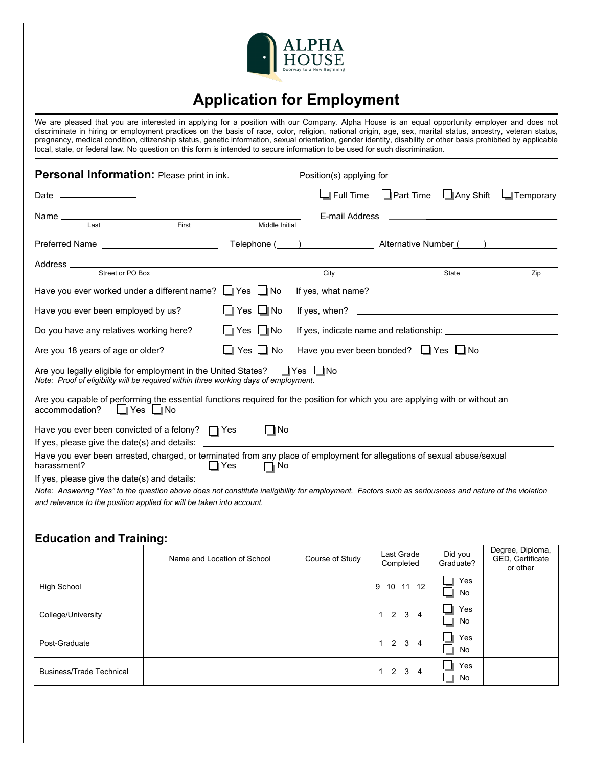

## **Application for Employment**

We are pleased that you are interested in applying for a position with our Company. Alpha House is an equal opportunity employer and does not discriminate in hiring or employment practices on the basis of race, color, religion, national origin, age, sex, marital status, ancestry, veteran status, pregnancy, medical condition, citizenship status, genetic information, sexual orientation, gender identity, disability or other basis prohibited by applicable local, state, or federal law. No question on this form is intended to secure information to be used for such discrimination.

| Personal Information: Please print in ink.                                                                                                                                 |                      | Position(s) applying for                                                                                                                                                                                                                                                             |                                   |                  |
|----------------------------------------------------------------------------------------------------------------------------------------------------------------------------|----------------------|--------------------------------------------------------------------------------------------------------------------------------------------------------------------------------------------------------------------------------------------------------------------------------------|-----------------------------------|------------------|
| Date ________________                                                                                                                                                      |                      | $\Box$ Full Time                                                                                                                                                                                                                                                                     | $\Box$ Part Time $\Box$ Any Shift | $\Box$ Temporary |
| First<br>Last                                                                                                                                                              | Middle Initial       | E-mail Address                                                                                                                                                                                                                                                                       |                                   |                  |
|                                                                                                                                                                            |                      | Telephone ( and Telephone ( and Telephone Computer School and Telephone Computer School and Telephone Computer School and Telephone Computer School and Telephone Computer School and Telephone Computer School and Telephone                                                        |                                   |                  |
|                                                                                                                                                                            |                      | City                                                                                                                                                                                                                                                                                 | State                             | Zip              |
| Have you ever worked under a different name? $\Box$ Yes $\Box$ No                                                                                                          |                      |                                                                                                                                                                                                                                                                                      |                                   |                  |
| Have you ever been employed by us?                                                                                                                                         | $\Box$ Yes $\Box$ No | If yes, when? $\sqrt{2}$ and $\sqrt{2}$ and $\sqrt{2}$ and $\sqrt{2}$ and $\sqrt{2}$ and $\sqrt{2}$ and $\sqrt{2}$ and $\sqrt{2}$ and $\sqrt{2}$ and $\sqrt{2}$ and $\sqrt{2}$ and $\sqrt{2}$ and $\sqrt{2}$ and $\sqrt{2}$ and $\sqrt{2}$ and $\sqrt{2}$ and $\sqrt{2}$ and $\sqrt$ |                                   |                  |
| Do you have any relatives working here?                                                                                                                                    | $\Box$ Yes $\Box$ No |                                                                                                                                                                                                                                                                                      |                                   |                  |
| Are you 18 years of age or older?                                                                                                                                          | Yes $\Box$ No        | Have you ever been bonded? U Yes U No                                                                                                                                                                                                                                                |                                   |                  |
| Are you legally eligible for employment in the United States? $\Box$ Yes $\Box$ No<br>Note: Proof of eligibility will be required within three working days of employment. |                      |                                                                                                                                                                                                                                                                                      |                                   |                  |
| Are you capable of performing the essential functions required for the position for which you are applying with or without an<br>∣∥Yes I ∥No<br>accommodation?             |                      |                                                                                                                                                                                                                                                                                      |                                   |                  |
| Have you ever been convicted of a felony? $\Box Y$ es<br>If yes, please give the date(s) and details:                                                                      | $\Box$ No            |                                                                                                                                                                                                                                                                                      |                                   |                  |
| Have you ever been arrested, charged, or terminated from any place of employment for allegations of sexual abuse/sexual<br>harassment?                                     | ∣ ∥Yes<br>∏ No       |                                                                                                                                                                                                                                                                                      |                                   |                  |
| If yes, please give the date(s) and details:                                                                                                                               |                      |                                                                                                                                                                                                                                                                                      |                                   |                  |
| Note: Answering "Yes" to the question above does not constitute ineligibility for employment. Factors such as seriousness and nature of the violation                      |                      |                                                                                                                                                                                                                                                                                      |                                   |                  |
| and relevance to the position applied for will be taken into account.                                                                                                      |                      |                                                                                                                                                                                                                                                                                      |                                   |                  |

## **Education and Training:**

|                                 | Name and Location of School | Course of Study | Last Grade<br>Completed     | Did you<br>Graduate? | Degree, Diploma,<br>GED, Certificate<br>or other |
|---------------------------------|-----------------------------|-----------------|-----------------------------|----------------------|--------------------------------------------------|
| High School                     |                             |                 | 9 10 11 12                  | Yes<br>No            |                                                  |
| College/University              |                             |                 | $1 \quad 2 \quad 3 \quad 4$ | Yes<br>No            |                                                  |
| Post-Graduate                   |                             |                 | $1 \quad 2 \quad 3 \quad 4$ | Yes<br>No            |                                                  |
| <b>Business/Trade Technical</b> |                             |                 | $1 \quad 2 \quad 3 \quad 4$ | Yes<br>No            |                                                  |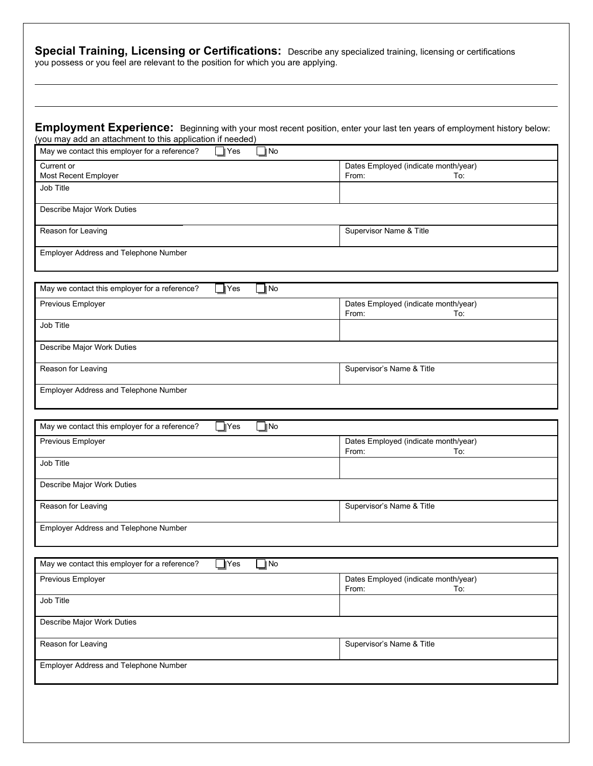| Employment Experience: Beginning with your most recent position, enter your last ten years of employment history below:<br>(you may add an attachment to this application if needed) |                                                      |
|--------------------------------------------------------------------------------------------------------------------------------------------------------------------------------------|------------------------------------------------------|
| May we contact this employer for a reference?<br>TNo<br>$\mathbb{I}$ Yes                                                                                                             |                                                      |
| Current or<br>Most Recent Employer                                                                                                                                                   | Dates Employed (indicate month/year)<br>From:<br>To: |
| Job Title                                                                                                                                                                            |                                                      |
| Describe Major Work Duties                                                                                                                                                           |                                                      |
| Reason for Leaving                                                                                                                                                                   | Supervisor Name & Title                              |
| Employer Address and Telephone Number                                                                                                                                                |                                                      |
|                                                                                                                                                                                      |                                                      |
| May we contact this employer for a reference?<br>]∣No<br>$\blacksquare$ Yes<br>Previous Employer                                                                                     | Dates Employed (indicate month/year)                 |
|                                                                                                                                                                                      | From:<br>To:                                         |
| Job Title                                                                                                                                                                            |                                                      |
| Describe Major Work Duties                                                                                                                                                           |                                                      |
| Reason for Leaving                                                                                                                                                                   | Supervisor's Name & Title                            |
| Employer Address and Telephone Number                                                                                                                                                |                                                      |
| $\Box$ Yes<br>May we contact this employer for a reference?<br>$\blacksquare$ No                                                                                                     |                                                      |
| Previous Employer                                                                                                                                                                    | Dates Employed (indicate month/year)                 |
| Job Title                                                                                                                                                                            | From:<br>To:                                         |
|                                                                                                                                                                                      |                                                      |
| Describe Major Work Duties                                                                                                                                                           |                                                      |
| Reason for Leaving                                                                                                                                                                   | Supervisor's Name & Title                            |
| Employer Address and Telephone Number                                                                                                                                                |                                                      |
| $\Box$ Yes<br>$\Box$ No<br>May we contact this employer for a reference?                                                                                                             |                                                      |
| Previous Employer                                                                                                                                                                    | Dates Employed (indicate month/year)<br>From:<br>To: |
| Job Title                                                                                                                                                                            |                                                      |
| Describe Major Work Duties                                                                                                                                                           |                                                      |
| Reason for Leaving                                                                                                                                                                   | Supervisor's Name & Title                            |
| Employer Address and Telephone Number                                                                                                                                                |                                                      |